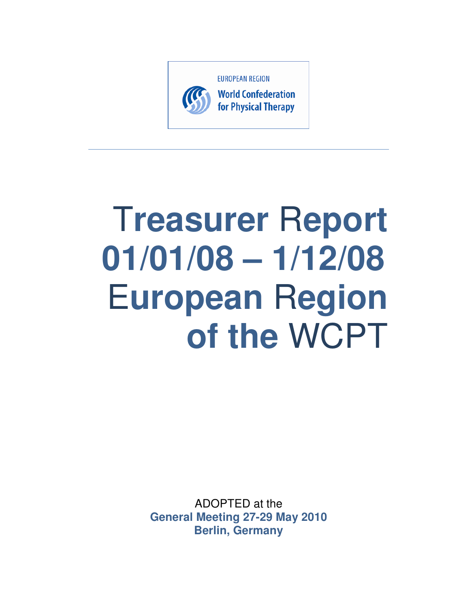

# T**reasurer** R**eport 01/01/08 – 1/12/08**  E**uropean** R**egion of the** WCPT

ADOPTED at the **General Meeting 27-29 May 2010 Berlin, Germany**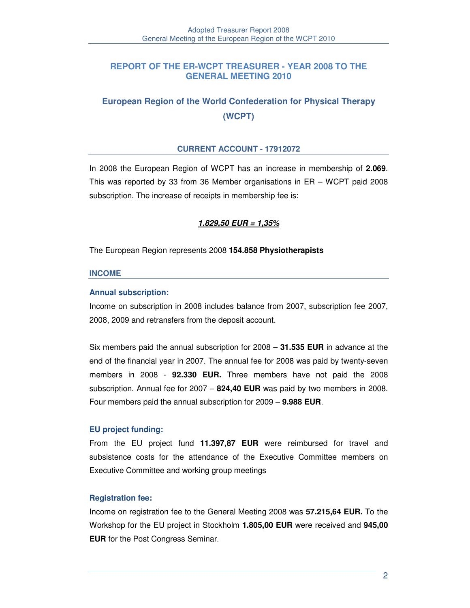# **REPORT OF THE ER-WCPT TREASURER - YEAR 2008 TO THE GENERAL MEETING 2010**

# **European Region of the World Confederation for Physical Therapy (WCPT)**

### **CURRENT ACCOUNT - 17912072**

In 2008 the European Region of WCPT has an increase in membership of **2.069**. This was reported by 33 from 36 Member organisations in ER – WCPT paid 2008 subscription. The increase of receipts in membership fee is:

# **1.829,50 EUR = 1,35%**

The European Region represents 2008 **154.858 Physiotherapists** 

#### **INCOME**

#### **Annual subscription:**

Income on subscription in 2008 includes balance from 2007, subscription fee 2007, 2008, 2009 and retransfers from the deposit account.

Six members paid the annual subscription for 2008 – **31.535 EUR** in advance at the end of the financial year in 2007. The annual fee for 2008 was paid by twenty-seven members in 2008 - **92.330 EUR.** Three members have not paid the 2008 subscription. Annual fee for 2007 – **824,40 EUR** was paid by two members in 2008. Four members paid the annual subscription for 2009 – **9.988 EUR**.

#### **EU project funding:**

From the EU project fund **11.397,87 EUR** were reimbursed for travel and subsistence costs for the attendance of the Executive Committee members on Executive Committee and working group meetings

#### **Registration fee:**

Income on registration fee to the General Meeting 2008 was **57.215,64 EUR.** To the Workshop for the EU project in Stockholm **1.805,00 EUR** were received and **945,00 EUR** for the Post Congress Seminar.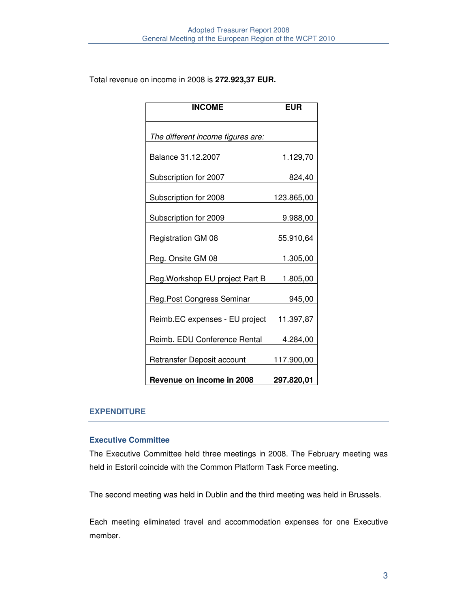Total revenue on income in 2008 is **272.923,37 EUR.**

| <b>INCOME</b>                     | <b>EUR</b> |
|-----------------------------------|------------|
| The different income figures are: |            |
| Balance 31.12.2007                | 1.129,70   |
| Subscription for 2007             | 824,40     |
| Subscription for 2008             | 123.865,00 |
| Subscription for 2009             | 9.988,00   |
| <b>Registration GM 08</b>         | 55.910,64  |
| Reg. Onsite GM 08                 | 1.305,00   |
| Reg. Workshop EU project Part B   | 1.805,00   |
| Reg. Post Congress Seminar        | 945,00     |
| Reimb.EC expenses - EU project    | 11.397,87  |
| Reimb. EDU Conference Rental      | 4.284,00   |
| Retransfer Deposit account        | 117.900,00 |
| Revenue on income in 2008         | 297.820,01 |

# **EXPENDITURE**

# **Executive Committee**

The Executive Committee held three meetings in 2008. The February meeting was held in Estoril coincide with the Common Platform Task Force meeting.

The second meeting was held in Dublin and the third meeting was held in Brussels.

Each meeting eliminated travel and accommodation expenses for one Executive member.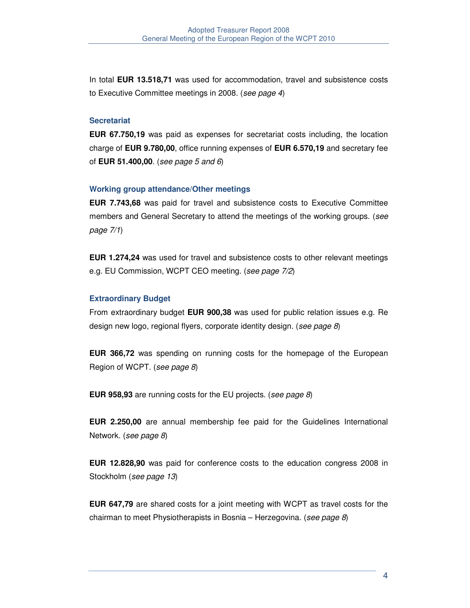In total **EUR 13.518,71** was used for accommodation, travel and subsistence costs to Executive Committee meetings in 2008. (see page 4)

#### **Secretariat**

**EUR 67.750,19** was paid as expenses for secretariat costs including, the location charge of **EUR 9.780,00**, office running expenses of **EUR 6.570,19** and secretary fee of **EUR 51.400,00**. (see page 5 and 6)

#### **Working group attendance/Other meetings**

**EUR 7.743,68** was paid for travel and subsistence costs to Executive Committee members and General Secretary to attend the meetings of the working groups. (see page 7/1)

**EUR 1.274,24** was used for travel and subsistence costs to other relevant meetings e.g. EU Commission, WCPT CEO meeting. (see page 7/2)

#### **Extraordinary Budget**

From extraordinary budget **EUR 900,38** was used for public relation issues e.g. Re design new logo, regional flyers, corporate identity design. (see page 8)

**EUR 366,72** was spending on running costs for the homepage of the European Region of WCPT. (see page 8)

**EUR 958,93** are running costs for the EU projects. (see page 8)

**EUR 2.250,00** are annual membership fee paid for the Guidelines International Network. (see page 8)

**EUR 12.828,90** was paid for conference costs to the education congress 2008 in Stockholm (see page 13)

**EUR 647,79** are shared costs for a joint meeting with WCPT as travel costs for the chairman to meet Physiotherapists in Bosnia – Herzegovina. (see page 8)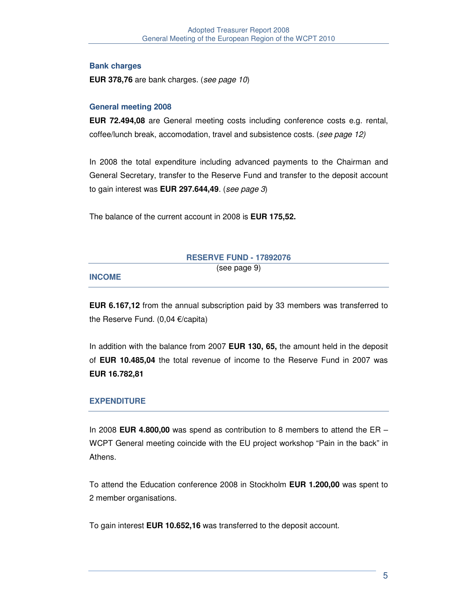# **Bank charges**

**EUR 378,76** are bank charges. (see page 10)

# **General meeting 2008**

**EUR 72.494,08** are General meeting costs including conference costs e.g. rental, coffee/lunch break, accomodation, travel and subsistence costs. (see page 12)

In 2008 the total expenditure including advanced payments to the Chairman and General Secretary, transfer to the Reserve Fund and transfer to the deposit account to gain interest was **EUR 297.644,49**. (see page 3)

The balance of the current account in 2008 is **EUR 175,52.** 

| (see page 9)<br><b>INCOME</b> | <b>RESERVE FUND - 17892076</b> |  |
|-------------------------------|--------------------------------|--|
|                               |                                |  |

**EUR 6.167,12** from the annual subscription paid by 33 members was transferred to the Reserve Fund. (0,04 €/capita)

In addition with the balance from 2007 **EUR 130, 65,** the amount held in the deposit of **EUR 10.485,04** the total revenue of income to the Reserve Fund in 2007 was **EUR 16.782,81**

# **EXPENDITURE**

In 2008 **EUR 4.800,00** was spend as contribution to 8 members to attend the ER – WCPT General meeting coincide with the EU project workshop "Pain in the back" in Athens.

To attend the Education conference 2008 in Stockholm **EUR 1.200,00** was spent to 2 member organisations.

To gain interest **EUR 10.652,16** was transferred to the deposit account.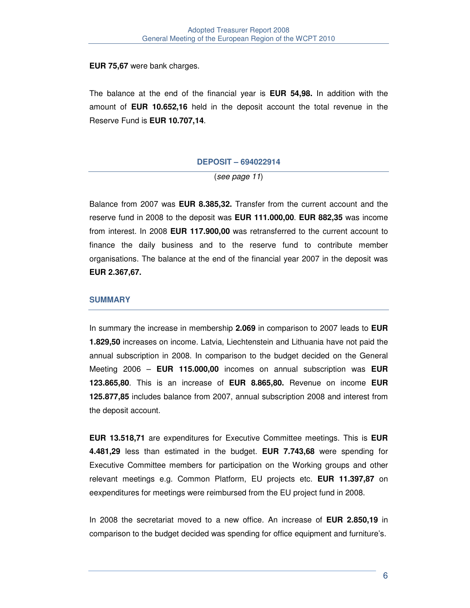### **EUR 75,67** were bank charges.

The balance at the end of the financial year is **EUR 54,98.** In addition with the amount of **EUR 10.652,16** held in the deposit account the total revenue in the Reserve Fund is **EUR 10.707,14**.

#### **DEPOSIT – 694022914**

(see page 11)

Balance from 2007 was **EUR 8.385,32.** Transfer from the current account and the reserve fund in 2008 to the deposit was **EUR 111.000,00**. **EUR 882,35** was income from interest. In 2008 **EUR 117.900,00** was retransferred to the current account to finance the daily business and to the reserve fund to contribute member organisations. The balance at the end of the financial year 2007 in the deposit was **EUR 2.367,67.** 

### **SUMMARY**

In summary the increase in membership **2.069** in comparison to 2007 leads to **EUR 1.829,50** increases on income. Latvia, Liechtenstein and Lithuania have not paid the annual subscription in 2008. In comparison to the budget decided on the General Meeting 2006 – **EUR 115.000,00** incomes on annual subscription was **EUR 123.865,80**. This is an increase of **EUR 8.865,80.** Revenue on income **EUR 125.877,85** includes balance from 2007, annual subscription 2008 and interest from the deposit account.

**EUR 13.518,71** are expenditures for Executive Committee meetings. This is **EUR 4.481,29** less than estimated in the budget. **EUR 7.743,68** were spending for Executive Committee members for participation on the Working groups and other relevant meetings e.g. Common Platform, EU projects etc. **EUR 11.397,87** on eexpenditures for meetings were reimbursed from the EU project fund in 2008.

In 2008 the secretariat moved to a new office. An increase of **EUR 2.850,19** in comparison to the budget decided was spending for office equipment and furniture's.